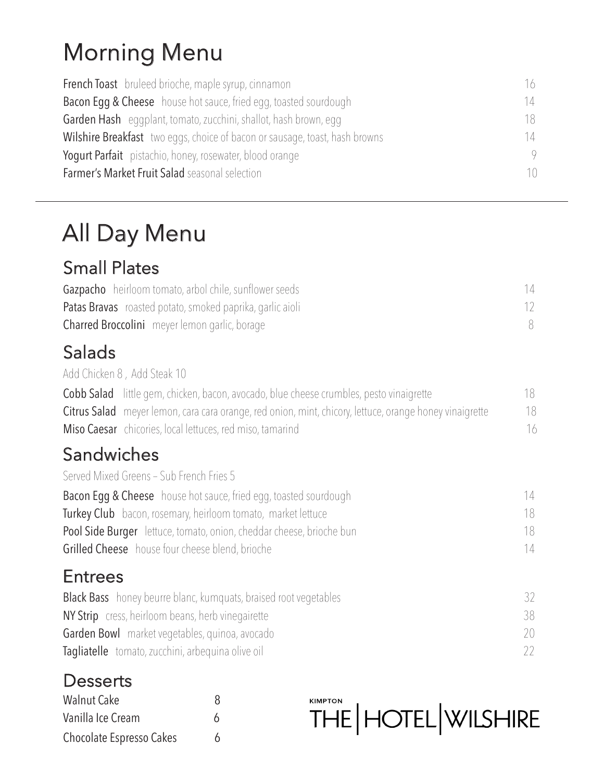# Morning Menu

| <b>French Toast</b> bruleed brioche, maple syrup, cinnamon                  | 16 |
|-----------------------------------------------------------------------------|----|
| <b>Bacon Eqq &amp; Cheese</b> house hot sauce, fried egg, toasted sourdough | 14 |
| <b>Garden Hash</b> eggplant, tomato, zucchini, shallot, hash brown, egg     | 18 |
| Wilshire Breakfast two eggs, choice of bacon or sausage, toast, hash browns | 14 |
| Yogurt Parfait pistachio, honey, rosewater, blood orange                    |    |
| <b>Farmer's Market Fruit Salad</b> seasonal selection                       |    |

# All Day Menu

#### Small Plates

| <b>Gazpacho</b> heirloom tomato, arbol chile, sunflower seeds    |  |
|------------------------------------------------------------------|--|
| <b>Patas Bravas</b> roasted potato, smoked paprika, garlic aioli |  |
| <b>Charred Broccolini</b> meyer lemon garlic, borage             |  |

#### Salads

Add Chicken 8 , Add Steak 10

| <b>Cobb Salad</b> little gem, chicken, bacon, avocado, blue cheese crumbles, pesto vinaigrette                 | 18 |
|----------------------------------------------------------------------------------------------------------------|----|
| <b>Citrus Salad</b> meyer lemon, cara cara orange, red onion, mint, chicory, lettuce, orange honey vinaigrette | 18 |
| <b>Miso Caesar</b> chicories, local lettuces, red miso, tamarind                                               | 16 |

## Sandwiches

Served Mixed Greens – Sub French Fries 5

| <b>Bacon Egg &amp; Cheese</b> house hot sauce, fried egg, toasted sourdough | 14  |
|-----------------------------------------------------------------------------|-----|
| <b>Turkey Club</b> bacon, rosemary, heirloom tomato, market lettuce         | 18  |
| <b>Pool Side Burger</b> lettuce, tomato, onion, cheddar cheese, brioche bun | 18. |
| <b>Grilled Cheese</b> house four cheese blend, brioche                      | 14  |

#### **Entrees**

| <b>Black Bass</b> honey beurre blanc, kumquats, braised root vegetables |    |
|-------------------------------------------------------------------------|----|
| <b>NY Strip</b> cress, heirloom beans, herb vinegairette                | 38 |
| <b>Garden Bowl</b> market vegetables, quinoa, avocado                   | 20 |
| Tagliatelle tomato, zucchini, arbeguina olive oil                       | 22 |

## **Desserts**

| <b>Walnut Cake</b>       | 8 |
|--------------------------|---|
| Vanilla Ice Cream        | 6 |
| Chocolate Espresso Cakes | 6 |

**THE | HOTEL WILSHIRE**